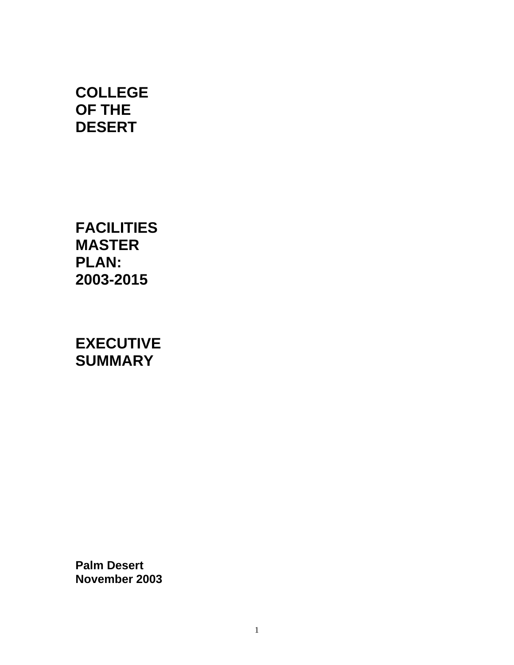# **COLLEGE OF THE DESERT**

**FACILITIES MASTER PLAN: 2003-2015** 

**EXECUTIVE SUMMARY** 

**Palm Desert November 2003**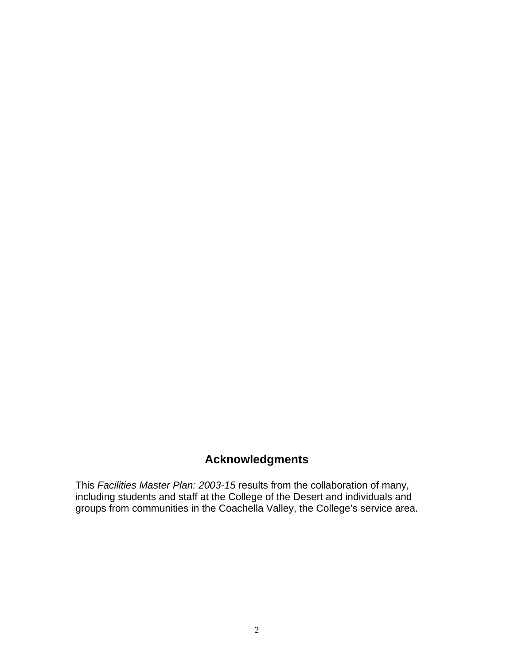# **Acknowledgments**

This *Facilities Master Plan: 2003-15* results from the collaboration of many, including students and staff at the College of the Desert and individuals and groups from communities in the Coachella Valley, the College's service area.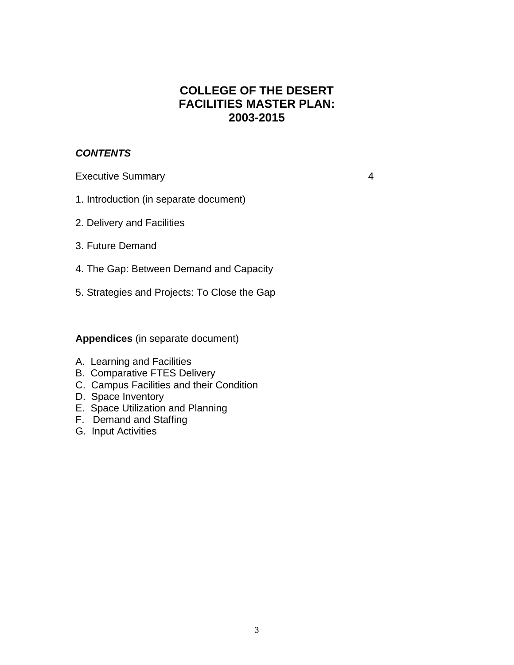### **COLLEGE OF THE DESERT FACILITIES MASTER PLAN: 2003-2015**

#### *CONTENTS*

Executive Summary **4** 

- 1. Introduction (in separate document)
- 2. Delivery and Facilities
- 3. Future Demand
- 4. The Gap: Between Demand and Capacity
- 5. Strategies and Projects: To Close the Gap

**Appendices** (in separate document)

- A. Learning and Facilities
- B. Comparative FTES Delivery
- C. Campus Facilities and their Condition
- D. Space Inventory
- E. Space Utilization and Planning
- F. Demand and Staffing
- G. Input Activities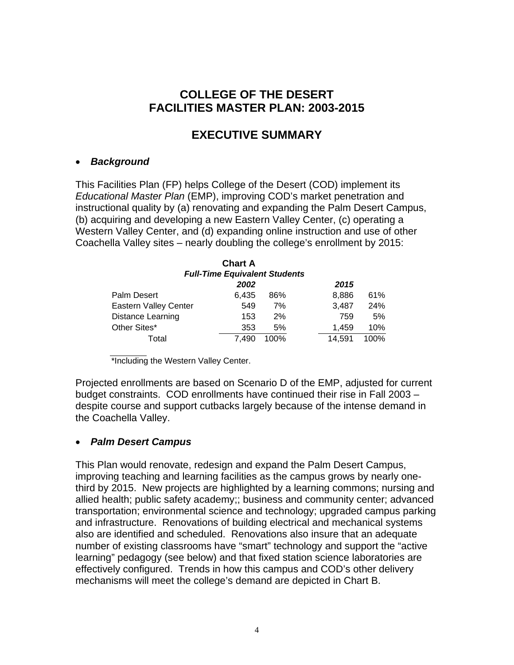## **COLLEGE OF THE DESERT FACILITIES MASTER PLAN: 2003-2015**

# **EXECUTIVE SUMMARY**

#### • *Background*

This Facilities Plan (FP) helps College of the Desert (COD) implement its *Educational Master Plan* (EMP), improving COD's market penetration and instructional quality by (a) renovating and expanding the Palm Desert Campus, (b) acquiring and developing a new Eastern Valley Center, (c) operating a Western Valley Center, and (d) expanding online instruction and use of other Coachella Valley sites – nearly doubling the college's enrollment by 2015:

| <b>Chart A</b><br><b>Full-Time Equivalent Students</b> |       |         |        |      |  |  |  |
|--------------------------------------------------------|-------|---------|--------|------|--|--|--|
|                                                        | 2002  |         | 2015   |      |  |  |  |
| Palm Desert                                            | 6.435 | 86%     | 8.886  | 61%  |  |  |  |
| <b>Eastern Valley Center</b>                           | 549   | 7%      | 3,487  | 24%  |  |  |  |
| Distance Learning                                      | 153   | 2%      | 759    | 5%   |  |  |  |
| Other Sites*                                           | 353   | 5%      | 1.459  | 10%  |  |  |  |
| Total                                                  | 7.490 | $100\%$ | 14,591 | 100% |  |  |  |

\*Including the Western Valley Center.

Projected enrollments are based on Scenario D of the EMP, adjusted for current budget constraints. COD enrollments have continued their rise in Fall 2003 – despite course and support cutbacks largely because of the intense demand in the Coachella Valley.

#### • *Palm Desert Campus*

This Plan would renovate, redesign and expand the Palm Desert Campus, improving teaching and learning facilities as the campus grows by nearly onethird by 2015. New projects are highlighted by a learning commons; nursing and allied health; public safety academy;; business and community center; advanced transportation; environmental science and technology; upgraded campus parking and infrastructure. Renovations of building electrical and mechanical systems also are identified and scheduled. Renovations also insure that an adequate number of existing classrooms have "smart" technology and support the "active learning" pedagogy (see below) and that fixed station science laboratories are effectively configured. Trends in how this campus and COD's other delivery mechanisms will meet the college's demand are depicted in Chart B.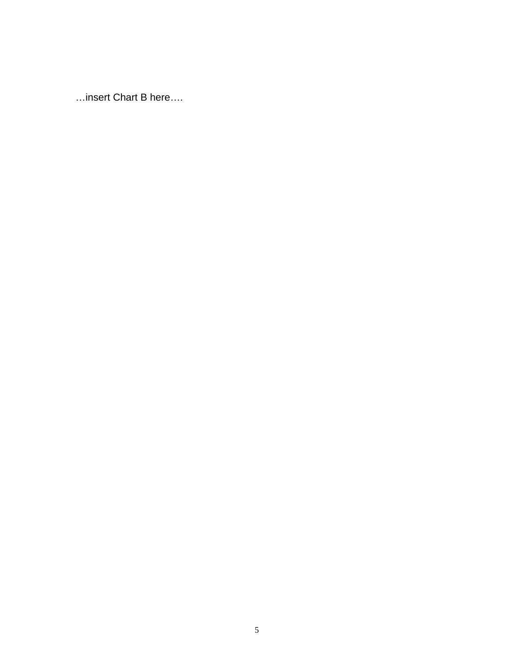...insert Chart B here....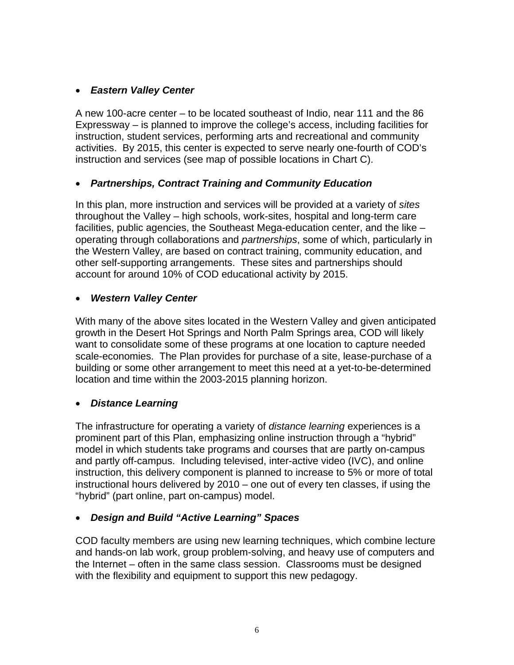#### • *Eastern Valley Center*

A new 100-acre center – to be located southeast of Indio, near 111 and the 86 Expressway – is planned to improve the college's access, including facilities for instruction, student services, performing arts and recreational and community activities. By 2015, this center is expected to serve nearly one-fourth of COD's instruction and services (see map of possible locations in Chart C).

### • *Partnerships, Contract Training and Community Education*

In this plan, more instruction and services will be provided at a variety of *sites* throughout the Valley – high schools, work-sites, hospital and long-term care facilities, public agencies, the Southeast Mega-education center, and the like – operating through collaborations and *partnerships*, some of which, particularly in the Western Valley, are based on contract training, community education, and other self-supporting arrangements. These sites and partnerships should account for around 10% of COD educational activity by 2015.

#### • *Western Valley Center*

With many of the above sites located in the Western Valley and given anticipated growth in the Desert Hot Springs and North Palm Springs area, COD will likely want to consolidate some of these programs at one location to capture needed scale-economies. The Plan provides for purchase of a site, lease-purchase of a building or some other arrangement to meet this need at a yet-to-be-determined location and time within the 2003-2015 planning horizon.

#### • *Distance Learning*

The infrastructure for operating a variety of *distance learning* experiences is a prominent part of this Plan, emphasizing online instruction through a "hybrid" model in which students take programs and courses that are partly on-campus and partly off-campus. Including televised, inter-active video (IVC), and online instruction, this delivery component is planned to increase to 5% or more of total instructional hours delivered by 2010 – one out of every ten classes, if using the "hybrid" (part online, part on-campus) model.

### • *Design and Build "Active Learning" Spaces*

COD faculty members are using new learning techniques, which combine lecture and hands-on lab work, group problem-solving, and heavy use of computers and the Internet – often in the same class session. Classrooms must be designed with the flexibility and equipment to support this new pedagogy.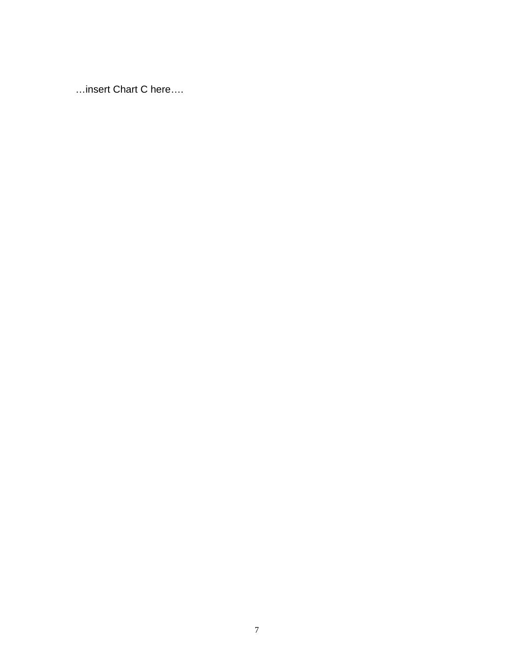...insert Chart C here....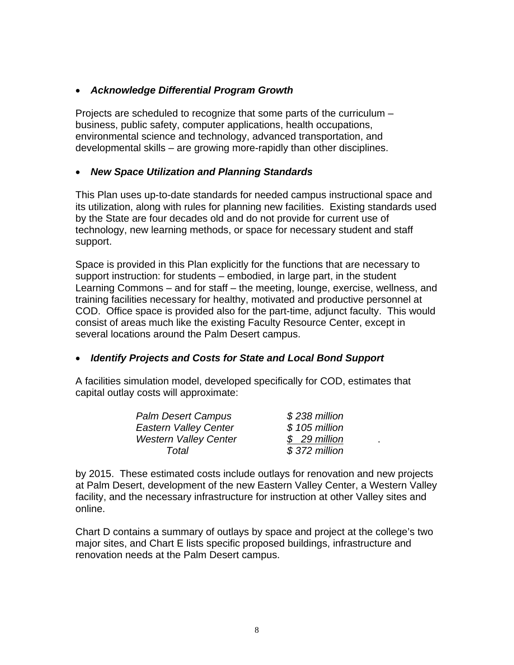#### • *Acknowledge Differential Program Growth*

Projects are scheduled to recognize that some parts of the curriculum – business, public safety, computer applications, health occupations, environmental science and technology, advanced transportation, and developmental skills – are growing more-rapidly than other disciplines.

#### • *New Space Utilization and Planning Standards*

This Plan uses up-to-date standards for needed campus instructional space and its utilization, along with rules for planning new facilities. Existing standards used by the State are four decades old and do not provide for current use of technology, new learning methods, or space for necessary student and staff support.

Space is provided in this Plan explicitly for the functions that are necessary to support instruction: for students – embodied, in large part, in the student Learning Commons – and for staff – the meeting, lounge, exercise, wellness, and training facilities necessary for healthy, motivated and productive personnel at COD. Office space is provided also for the part-time, adjunct faculty. This would consist of areas much like the existing Faculty Resource Center, except in several locations around the Palm Desert campus.

#### • *Identify Projects and Costs for State and Local Bond Support*

A facilities simulation model, developed specifically for COD, estimates that capital outlay costs will approximate:

| <b>Palm Desert Campus</b>    | $$238$ million |  |
|------------------------------|----------------|--|
| <b>Eastern Valley Center</b> | $$105$ million |  |
| <b>Western Valley Center</b> | \$29 million   |  |
| Total                        | $$372$ million |  |

by 2015. These estimated costs include outlays for renovation and new projects at Palm Desert, development of the new Eastern Valley Center, a Western Valley facility, and the necessary infrastructure for instruction at other Valley sites and online.

Chart D contains a summary of outlays by space and project at the college's two major sites, and Chart E lists specific proposed buildings, infrastructure and renovation needs at the Palm Desert campus.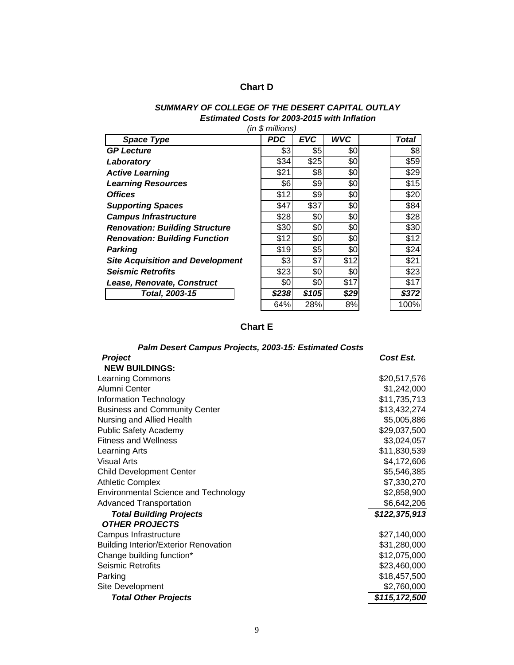#### **Chart D**

#### *SUMMARY OF COLLEGE OF THE DESERT CAPITAL OUTLAY Estimated Costs for 2003-2015 with Inflation (in \$ millions)*

| <b>Space Type</b>                       | PDC   | <b>EVC</b> | <b>WVC</b> | <b>Total</b> |
|-----------------------------------------|-------|------------|------------|--------------|
| <b>GP Lecture</b>                       | \$3   | \$5        | \$0        | \$8          |
| Laboratory                              | \$34  | \$25       | \$0        | \$59         |
| <b>Active Learning</b>                  | \$21  | \$8        | \$0        | \$29         |
| <b>Learning Resources</b>               | \$6   | \$9        | \$0        | \$15         |
| <b>Offices</b>                          | \$12  | \$9        | \$0        | \$20         |
|                                         |       |            |            |              |
| <b>Supporting Spaces</b>                | \$47  | \$37       | \$0        | \$84         |
| <b>Campus Infrastructure</b>            | \$28  | \$0        | \$0        | \$28         |
| <b>Renovation: Building Structure</b>   | \$30  | \$0        | \$0        | \$30         |
| <b>Renovation: Building Function</b>    | \$12  | \$0        | \$0        | \$12         |
| <b>Parking</b>                          | \$19  | \$5        | \$0        | \$24         |
| <b>Site Acquisition and Development</b> | \$3   | \$7        | \$12       | \$21         |
| <b>Seismic Retrofits</b>                | \$23  | \$0        | \$0        | \$23         |
| Lease, Renovate, Construct              | \$0   | \$0        | \$17       | \$17         |
| Total, 2003-15                          | \$238 | \$105      | \$29       | \$372        |
|                                         | 64%   | 28%        | 8%         | 100%         |

#### **Chart E**

# *Palm Desert Campus Projects, 2003-15: Estimated Costs*

| <b>Project</b>                               | Cost Est.     |
|----------------------------------------------|---------------|
| <b>NEW BUILDINGS:</b>                        |               |
| <b>Learning Commons</b>                      | \$20,517,576  |
| Alumni Center                                | \$1,242,000   |
| Information Technology                       | \$11,735,713  |
| <b>Business and Community Center</b>         | \$13,432,274  |
| Nursing and Allied Health                    | \$5,005,886   |
| <b>Public Safety Academy</b>                 | \$29,037,500  |
| <b>Fitness and Wellness</b>                  | \$3,024,057   |
| Learning Arts                                | \$11,830,539  |
| <b>Visual Arts</b>                           | \$4,172,606   |
| <b>Child Development Center</b>              | \$5,546,385   |
| <b>Athletic Complex</b>                      | \$7,330,270   |
| <b>Environmental Science and Technology</b>  | \$2,858,900   |
| <b>Advanced Transportation</b>               | \$6,642,206   |
| <b>Total Building Projects</b>               | \$122,375,913 |
| <b>OTHER PROJECTS</b>                        |               |
| Campus Infrastructure                        | \$27,140,000  |
| <b>Building Interior/Exterior Renovation</b> | \$31,280,000  |
| Change building function*                    | \$12,075,000  |
| Seismic Retrofits                            | \$23,460,000  |
| Parking                                      | \$18,457,500  |
| Site Development                             | \$2,760,000   |
| <b>Total Other Projects</b>                  | \$115,172,500 |
|                                              |               |